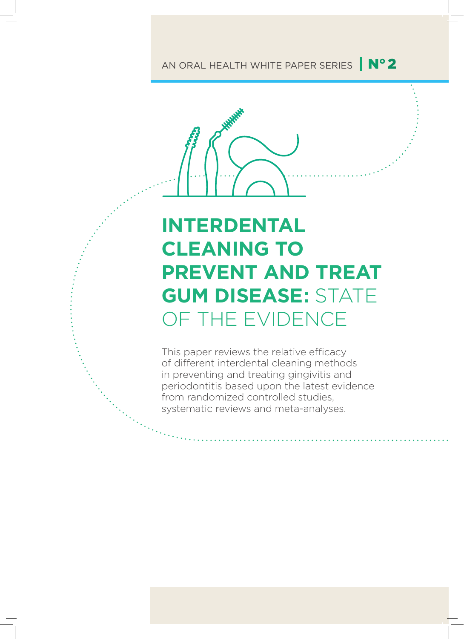## AN ORAL HEALTH WHITE PAPER SERIES | Nº 2



# **INTERDENTAL CLEANING TO PREVENT AND TREAT GUM DISEASE:** STATE OF THE EVIDENCE

This paper reviews the relative efficacy of different interdental cleaning methods in preventing and treating gingivitis and periodontitis based upon the latest evidence from randomized controlled studies, systematic reviews and meta-analyses.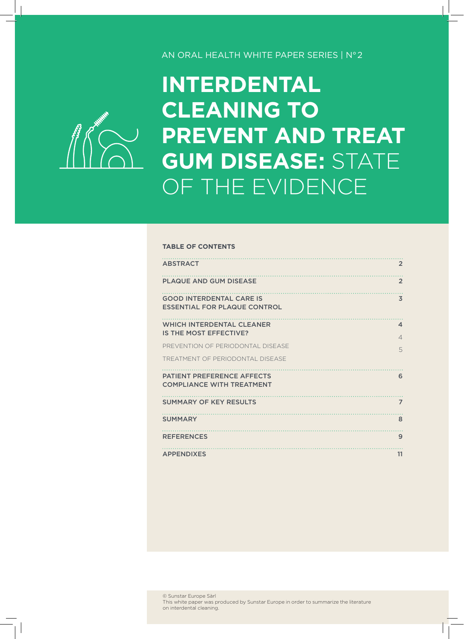#### AN ORAL HEALTH WHITE PAPER SERIES | N°2



# **INTERDENTAL CLEANING TO PREVENT AND TREAT GUM DISEASE:** STATE OF THE EVIDENCE

#### **TABLE OF CONTENTS**

| <b>ABSTRACT</b>                                                        | $\overline{2}$                          |
|------------------------------------------------------------------------|-----------------------------------------|
| <b>PLAQUE AND GUM DISEASE</b>                                          | $\overline{2}$                          |
| <b>GOOD INTERDENTAL CARE IS</b><br><b>ESSENTIAL FOR PLAQUE CONTROL</b> | $\overline{3}$                          |
| <b>WHICH INTERDENTAL CLEANER</b><br>IS THE MOST EFFECTIVE?             | $\boldsymbol{\Delta}$<br>$\overline{4}$ |
| PREVENTION OF PERIODONTAL DISEASE                                      | 5                                       |
| TREATMENT OF PERIODONTAL DISEASE                                       |                                         |
| <b>PATIENT PREFERENCE AFFECTS</b><br><b>COMPLIANCE WITH TREATMENT</b>  | 6                                       |
| <b>SUMMARY OF KEY RESULTS</b>                                          | $\overline{7}$                          |
| <b>SUMMARY</b>                                                         | 8                                       |
| <b>REFERENCES</b>                                                      | 9                                       |
| <b>APPENDIXES</b>                                                      | 11                                      |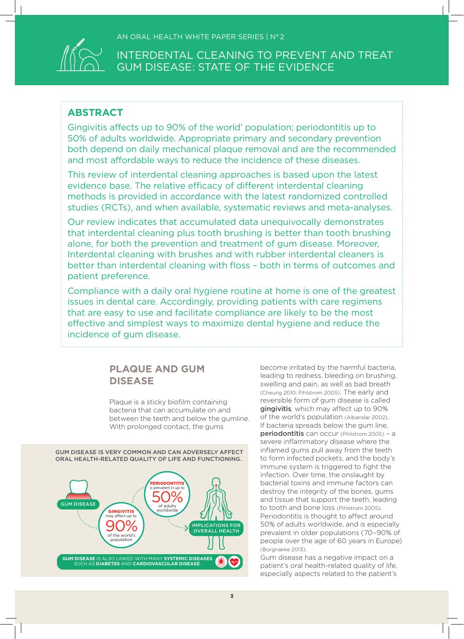

### **ABSTRACT**

Gingivitis affects up to 90% of the world' population; periodontitis up to 50% of adults worldwide. Appropriate primary and secondary prevention both depend on daily mechanical plaque removal and are the recommended and most affordable ways to reduce the incidence of these diseases.

This review of interdental cleaning approaches is based upon the latest evidence base. The relative efficacy of different interdental cleaning methods is provided in accordance with the latest randomized controlled studies (RCTs), and when available, systematic reviews and meta-analyses.

Our review indicates that accumulated data unequivocally demonstrates that interdental cleaning plus tooth brushing is better than tooth brushing alone, for both the prevention and treatment of gum disease. Moreover, Interdental cleaning with brushes and with rubber interdental cleaners is better than interdental cleaning with floss – both in terms of outcomes and patient preference.

Compliance with a daily oral hygiene routine at home is one of the greatest issues in dental care. Accordingly, providing patients with care regimens that are easy to use and facilitate compliance are likely to be the most effective and simplest ways to maximize dental hygiene and reduce the incidence of gum disease.

### **PLAQUE AND GUM DISEASE**

Plaque is a sticky biofilm containing bacteria that can accumulate on and between the teeth and below the gumline. With prolonged contact, the gums

GUM DISEASE **90%** SALL MELICATIONS FOR **GINGIVITIS** may affect up to of the world's population  $($  )<sup>O</sup> PERIODONTITIS is prevalent in up to of adults worldwide **GUM DISEASE** IS ALSO LINKED WITH MANY **SYSTEMIC DISEASES** SUCH AS **DIABETES** AND **CARDIOVASCULAR DISEASE**. GUM DISEASE IS VERY COMMON AND CAN ADVERSELY AFFECT ORAL HEALTH-RELATED QUALITY OF LIFE AND FUNCTIONING.

become irritated by the harmful bacteria, leading to redness, bleeding on brushing, swelling and pain, as well as bad breath (Cheung 2010; Pihlstrom 2005). The early and reversible form of gum disease is called gingivitis, which may affect up to 90% of the world's population (Albandar 2002). If bacteria spreads below the gum line, periodontitis can occur (Pihlstrom 2005) - a severe inflammatory disease where the inflamed gums pull away from the teeth to form infected pockets, and the body's immune system is triggered to fight the infection. Over time, the onslaught by bacterial toxins and immune factors can destroy the integrity of the bones, gums and tissue that support the teeth, leading to tooth and bone loss (Pihlstrom 2005). Periodontitis is thought to affect around 50% of adults worldwide, and is especially prevalent in older populations (70–90% of people over the age of 60 years in Europe) (Borgnakke 2013).

Gum disease has a negative impact on a patient's oral health-related quality of life, especially aspects related to the patient's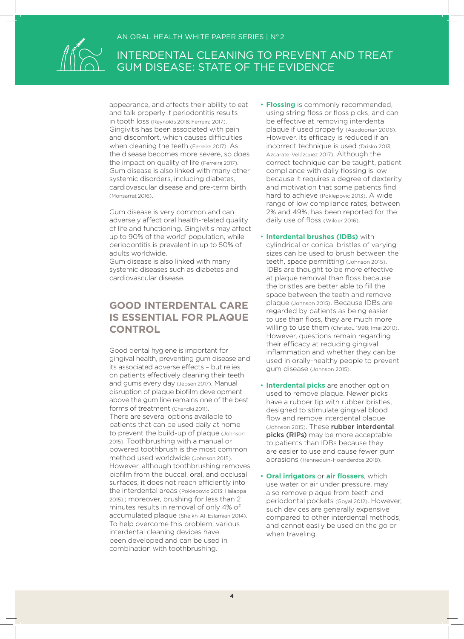

appearance, and affects their ability to eat and talk properly if periodontitis results in tooth loss (Reynolds 2018; Ferreira 2017). Gingivitis has been associated with pain and discomfort, which causes difficulties when cleaning the teeth (Ferreira 2017). As the disease becomes more severe, so does the impact on quality of life (Ferreira 2017). Gum disease is also linked with many other systemic disorders, including diabetes, cardiovascular disease and pre-term birth (Monsarrat 2016).

Gum disease is very common and can adversely affect oral health-related quality of life and functioning. Gingivitis may affect up to 90% of the world' population, while periodontitis is prevalent in up to 50% of adults worldwide.

Gum disease is also linked with many systemic diseases such as diabetes and cardiovascular disease.

### **GOOD INTERDENTAL CARE IS ESSENTIAL FOR PLAQUE CONTROL**

Good dental hygiene is important for gingival health, preventing gum disease and its associated adverse effects – but relies on patients effectively cleaning their teeth and gums every day (Jepsen 2017). Manual disruption of plaque biofilm development above the gum line remains one of the best forms of treatment (Chandki 2011). There are several options available to patients that can be used daily at home to prevent the build-up of plaque (Johnson 2015). Toothbrushing with a manual or powered toothbrush is the most common method used worldwide (Johnson 2015). However, although toothbrushing removes biofilm from the buccal, oral, and occlusal surfaces, it does not reach efficiently into the interdental areas (Poklepovic 2013; Halappa 2015).; moreover, brushing for less than 2 minutes results in removal of only 4% of accumulated plaque (Sheikh-Al-Eslamian 2014). To help overcome this problem, various interdental cleaning devices have been developed and can be used in combination with toothbrushing.

- **Flossing** is commonly recommended, using string floss or floss picks, and can be effective at removing interdental plaque if used properly (Asadoorian 2006). However, its efficacy is reduced if an incorrect technique is used (Drisko 2013; Azcarate-Velázquez 2017). Although the correct technique can be taught, patient compliance with daily flossing is low because it requires a degree of dexterity and motivation that some patients find hard to achieve (Poklepovic 2013). A wide range of low compliance rates, between 2% and 49%, has been reported for the daily use of floss (Wilder 2016).
- **Interdental brushes (IDBs)** with cylindrical or conical bristles of varying sizes can be used to brush between the teeth, space permitting (Johnson 2015). IDBs are thought to be more effective at plaque removal than floss because the bristles are better able to fill the space between the teeth and remove plaque (Johnson 2015). Because IDBs are regarded by patients as being easier to use than floss, they are much more willing to use them (Christou 1998; Imai 2010). However, questions remain regarding their efficacy at reducing gingival inflammation and whether they can be used in orally-healthy people to prevent gum disease (Johnson 2015).
- **Interdental picks** are another option used to remove plaque. Newer picks have a rubber tip with rubber bristles, designed to stimulate gingival blood flow and remove interdental plaque (Johnson 2015). These rubber interdental picks (RIPs) may be more acceptable to patients than IDBs because they are easier to use and cause fewer gum abrasions (Hennequin-Hoenderdos 2018).
- **Oral irrigators** or **air flossers**, which use water or air under pressure, may also remove plaque from teeth and periodontal pockets (Goyal 2012). However, such devices are generally expensive compared to other interdental methods, and cannot easily be used on the go or when traveling.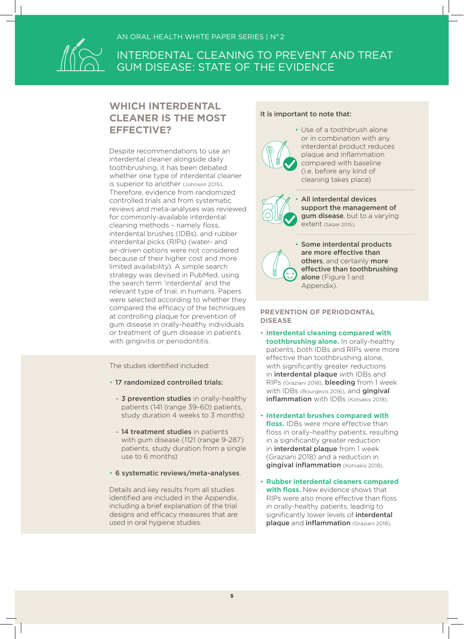

### **WHICH INTERDENTAL CLEANER IS THE MOST EFFECTIVE?**

Despite recommendations to use an interdental cleaner alongside daily toothbrushing, it has been debated whether one type of interdental cleaner is superior to another (Johnson 2015). Therefore, evidence from randomized controlled trials and from systematic reviews and meta-analyses was reviewed for commonly-available interdental cleaning methods – namely floss, interdental brushes (IDBs), and rubber interdental picks (RIPs) (water- and air-driven options were not considered because of their higher cost and more limited availability). A simple search strategy was devised in PubMed, using the search term 'interdental' and the relevant type of trial, in humans. Papers were selected according to whether they compared the efficacy of the techniques at controlling plaque for prevention of gum disease in orally-healthy individuals or treatment of gum disease in patients with gingivitis or periodontitis.

The studies identified included:

- 17 randomized controlled trials:
	- 3 prevention studies in orally-healthy patients (141 (range 39-60) patients, study duration 4 weeks to 3 months)
	- 14 treatment studies in patients with gum disease (1121 (range 9-287) patients, study duration from a single use to 6 months)
- 6 systematic reviews/meta-analyses.

Details and key results from all studies identified are included in the Appendix, including a brief explanation of the trial designs and efficacy measures that are used in oral hygiene studies.

#### It is important to note that:



• Use of a toothbrush alone or in combination with any interdental product reduces plaque and inflammation compared with baseline (i.e. before any kind of cleaning takes place)



All interdental devices support the management of gum disease, but to a varying extent (Salzer 2015).

• Some interdental products are more effective than others, and certainly more effective than toothbrushing alone (Figure 1 and Appendix).

**PREVENTION OF PERIODONTAL DISEASE**

- **Interdental cleaning compared with toothbrushing alone.** In orally-healthy patients, both IDBs and RIPs were more effective than toothbrushing alone, with significantly greater reductions in interdental plaque with IDBs and RIPs (Graziani 2018), bleeding from 1 week with IDBs (Bourgeois 2016), and gingival inflammation with IDBs (Kotsakis 2018).
- **Interdental brushes compared with floss.** IDBs were more effective than floss in orally-healthy patients, resulting in a significantly greater reduction in interdental plaque from 1 week (Graziani 2018) and a reduction in gingival inflammation (Kotsakis 2018).
- **Rubber interdental cleaners compared with floss.** New evidence shows that RIPs were also more effective than floss in orally-healthy patients, leading to significantly lower levels of *interdental* plaque and inflammation (Graziani 2018).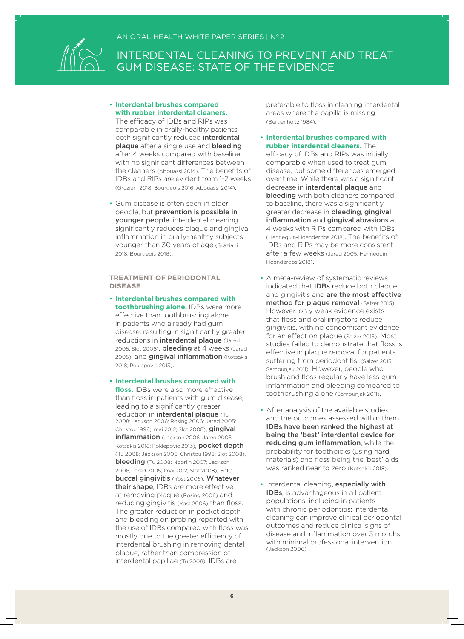

• **Interdental brushes compared with rubber interdental cleaners.**

The efficacy of IDBs and RIPs was comparable in orally-healthy patients; both significantly reduced **interdental** plaque after a single use and bleeding after 4 weeks compared with baseline, with no significant differences between the cleaners (Abouassi 2014). The benefits of IDBs and RIPs are evident from 1-2 weeks (Graziani 2018; Bourgeois 2016; Abouassi 2014).

• Gum disease is often seen in older people, but prevention is possible in younger people; interdental cleaning significantly reduces plaque and gingival inflammation in orally-healthy subjects younger than 30 years of age (Graziani 2018; Bourgeois 2016).

#### **TREATMENT OF PERIODONTAL DISEASE**

- **Interdental brushes compared with toothbrushing alone.** IDBs were more effective than toothbrushing alone in patients who already had gum disease, resulting in significantly greater reductions in **interdental plaque** (Jared 2005; Slot 2008), **bleeding** at 4 weeks (Jared 2005), and gingival inflammation (Kotsakis 2018; Poklepovic 2013).
- **Interdental brushes compared with floss.** IDBs were also more effective than floss in patients with gum disease, leading to a significantly greater reduction in **interdental plaque** (Tu 2008; Jackson 2006; Rosing 2006; Jared 2005; Christou 1998; Imai 2012; Slot 2008), gingival inflammation (Jackson 2006; Jared 2005; Kotsakis 2018; Poklepovic 2013), pocket depth (Tu 2008; Jackson 2006; Christou 1998; Slot 2008), bleeding (Tu 2008; Noorlin 2007; Jackson 2006; Jared 2005; Imai 2012; Slot 2008), and buccal gingivitis (Yost 2006). Whatever their shape, IDBs are more effective at removing plaque (Rosing 2006) and reducing gingivitis (Yost 2006) than floss. The greater reduction in pocket depth and bleeding on probing reported with the use of IDBs compared with floss was mostly due to the greater efficiency of interdental brushing in removing dental plaque, rather than compression of interdental papillae (Tu 2008). IDBs are

preferable to floss in cleaning interdental areas where the papilla is missing (Bergenholtz 1984).

• **Interdental brushes compared with rubber interdental cleaners.** The

efficacy of IDBs and RIPs was initially comparable when used to treat gum disease, but some differences emerged over time. While there was a significant decrease in interdental plaque and bleeding with both cleaners compared to baseline, there was a significantly greater decrease in bleeding, gingival inflammation and gingival abrasions at 4 weeks with RIPs compared with IDBs (Hennequin-Hoenderdos 2018). The benefits of IDBs and RIPs may be more consistent after a few weeks (Jared 2005; Hennequin-Hoenderdos 2018).

- A meta-review of systematic reviews indicated that IDBs reduce both plaque and gingivitis and are the most effective method for plaque removal (Salzer 2015). However, only weak evidence exists that floss and oral irrigators reduce gingivitis, with no concomitant evidence for an effect on plaque (Salzer 2015). Most studies failed to demonstrate that floss is effective in plaque removal for patients suffering from periodontitis. (Salzer 2015; Sambunjak 2011). However, people who brush and floss regularly have less gum inflammation and bleeding compared to toothbrushing alone (Sambunjak 2011).
- After analysis of the available studies and the outcomes assessed within them, IDBs have been ranked the highest at being the 'best' interdental device for reducing gum inflammation, while the probability for toothpicks (using hard materials) and floss being the 'best' aids was ranked near to zero (Kotsakis 2018).
- Interdental cleaning, especially with IDBs, is advantageous in all patient populations, including in patients with chronic periodontitis; interdental cleaning can improve clinical periodontal outcomes and reduce clinical signs of disease and inflammation over 3 months, with minimal professional intervention (Jackson 2006).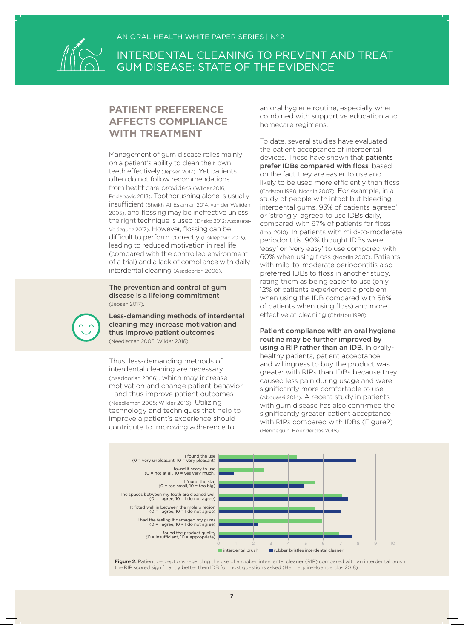

### **PATIENT PREFERENCE AFFECTS COMPLIANCE WITH TREATMENT**

Management of gum disease relies mainly on a patient's ability to clean their own teeth effectively (Jepsen 2017). Yet patients often do not follow recommendations from healthcare providers (Wilder 2016; Poklepovic 2013). Toothbrushing alone is usually insufficient (Sheikh-Al-Eslamian 2014; van der Weijden 2005), and flossing may be ineffective unless the right technique is used (Drisko 2013; Azcarate-Velázquez 2017). However, flossing can be difficult to perform correctly (Poklepovic 2013), leading to reduced motivation in real life (compared with the controlled environment of a trial) and a lack of compliance with daily interdental cleaning (Asadoorian 2006).

The prevention and control of gum disease is a lifelong commitment (Jepsen 2017).

Less-demanding methods of interdental cleaning may increase motivation and thus improve patient outcomes (Needleman 2005; Wilder 2016).

Thus, less-demanding methods of interdental cleaning are necessary (Asadoorian 2006), which may increase motivation and change patient behavior – and thus improve patient outcomes (Needleman 2005; Wilder 2016). Utilizing technology and techniques that help to improve a patient's experience should contribute to improving adherence to

an oral hygiene routine, especially when combined with supportive education and homecare regimens.

To date, several studies have evaluated the patient acceptance of interdental devices. These have shown that **patients** prefer IDBs compared with floss, based on the fact they are easier to use and likely to be used more efficiently than floss (Christou 1998; Noorlin 2007). For example, in a study of people with intact but bleeding interdental gums, 93% of patients 'agreed' or 'strongly' agreed to use IDBs daily, compared with 67% of patients for floss (Imai 2010). In patients with mild-to-moderate periodontitis, 90% thought IDBs were 'easy' or 'very easy' to use compared with 60% when using floss (Noorlin 2007). Patients with mild-to-moderate periodontitis also preferred IDBs to floss in another study, rating them as being easier to use (only 12% of patients experienced a problem when using the IDB compared with 58% of patients when using floss) and more effective at cleaning (Christou 1998).

Patient compliance with an oral hygiene routine may be further improved by using a RIP rather than an IDB. In orallyhealthy patients, patient acceptance and willingness to buy the product was greater with RIPs than IDBs because they caused less pain during usage and were significantly more comfortable to use (Abouassi 2014). A recent study in patients with gum disease has also confirmed the significantly greater patient acceptance with RIPs compared with IDBs (Figure2) (Hennequin-Hoenderdos 2018).



Figure 2. Patient perceptions regarding the use of a rubber interdental cleaner (RIP) compared with an interdental brush: the RIP scored significantly better than IDB for most questions asked (Hennequin-Hoenderdos 2018).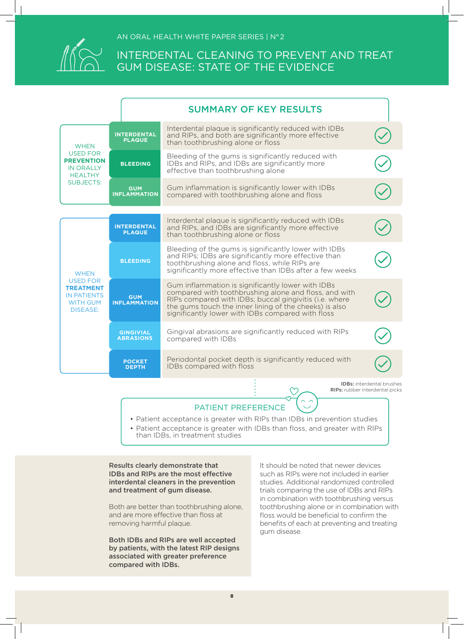

|                                                                                                                |                                      | <b>SUMMARY OF KEY RESULTS</b>                                                                                                                                                                                                                                                       |                                                                    |
|----------------------------------------------------------------------------------------------------------------|--------------------------------------|-------------------------------------------------------------------------------------------------------------------------------------------------------------------------------------------------------------------------------------------------------------------------------------|--------------------------------------------------------------------|
| <b>WHEN</b>                                                                                                    | <b>INTERDENTAL</b><br><b>PLAQUE</b>  | Interdental plaque is significantly reduced with IDBs<br>and RIPs, and both are significantly more effective<br>than toothbrushing alone or floss                                                                                                                                   |                                                                    |
| <b>USED FOR</b><br><b>PREVENTION</b><br><b>IN ORALLY</b><br><b>HEALTHY</b>                                     | <b>BLEEDING</b>                      | Bleeding of the gums is significantly reduced with<br>IDBs and RIPs, and IDBs are significantly more<br>effective than toothbrushing alone                                                                                                                                          |                                                                    |
| <b>SUBJECTS:</b>                                                                                               | <b>GUM</b><br><b>INFLAMMATION</b>    | Gum inflammation is significantly lower with IDBs<br>compared with toothbrushing alone and floss                                                                                                                                                                                    |                                                                    |
|                                                                                                                |                                      |                                                                                                                                                                                                                                                                                     |                                                                    |
| <b>WHEN</b><br><b>USED FOR</b><br><b>TREATMENT</b><br><b>IN PATIENTS</b><br><b>WITH GUM</b><br><b>DISEASE:</b> | <b>INTERDENTAL</b><br><b>PLAQUE</b>  | Interdental plaque is significantly reduced with IDBs<br>and RIPs, and IDBs are significantly more effective<br>than toothbrushing alone or floss                                                                                                                                   |                                                                    |
|                                                                                                                | <b>BLEEDING</b>                      | Bleeding of the gums is significantly lower with IDBs<br>and RIPs; IDBs are significantly more effective than<br>toothbrushing alone and floss, while RIPs are<br>significantly more effective than IDBs after a few weeks                                                          |                                                                    |
|                                                                                                                | <b>GUM</b><br><b>INFLAMMATION</b>    | Gum inflammation is significantly lower with IDBs<br>compared with toothbrushing alone and floss, and with<br>RIPs compared with IDBs; buccal gingivitis (i.e. where<br>the gums touch the inner lining of the cheeks) is also<br>significantly lower with IDBs compared with floss |                                                                    |
|                                                                                                                | <b>GINGIVIAL</b><br><b>ABRASIONS</b> | Gingival abrasions are significantly reduced with RIPs<br>compared with IDBs                                                                                                                                                                                                        |                                                                    |
|                                                                                                                | <b>POCKET</b><br><b>DEPTH</b>        | Periodontal pocket depth is significantly reduced with<br>IDBs compared with floss                                                                                                                                                                                                  |                                                                    |
|                                                                                                                |                                      |                                                                                                                                                                                                                                                                                     | <b>IDBs:</b> interdental brushes<br>RIPs: rubber interdental picks |

PATIENT PREFERENCE

- Patient acceptance is greater with RIPs than IDBs in prevention studies
- Patient acceptance is greater with IDBs than floss, and greater with RIPs than IDBs, in treatment studies

Results clearly demonstrate that IDBs and RIPs are the most effective interdental cleaners in the prevention and treatment of gum disease.

Both are better than toothbrushing alone, and are more effective than floss at removing harmful plaque.

Both IDBs and RIPs are well accepted by patients, with the latest RIP designs associated with greater preference compared with IDBs.

It should be noted that newer devices such as RIPs were not included in earlier studies. Additional randomized controlled trials comparing the use of IDBs and RIPs in combination with toothbrushing versus toothbrushing alone or in combination with floss would be beneficial to confirm the benefits of each at preventing and treating gum disease.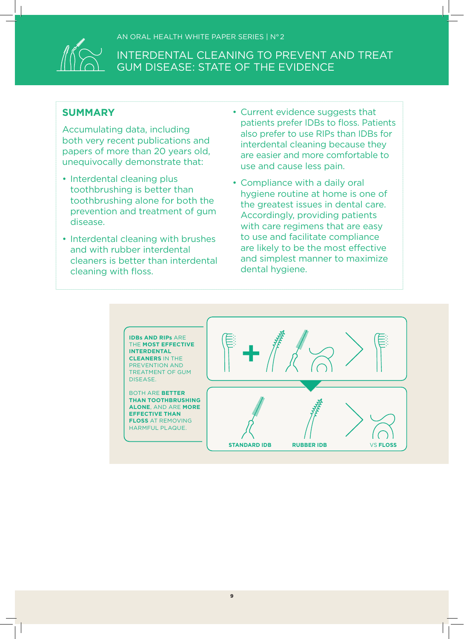

### **SUMMARY**

Accumulating data, including both very recent publications and papers of more than 20 years old, unequivocally demonstrate that:

- Interdental cleaning plus toothbrushing is better than toothbrushing alone for both the prevention and treatment of gum disease.
- Interdental cleaning with brushes and with rubber interdental cleaners is better than interdental cleaning with floss.
- Current evidence suggests that patients prefer IDBs to floss. Patients also prefer to use RIPs than IDBs for interdental cleaning because they are easier and more comfortable to use and cause less pain.
- Compliance with a daily oral hygiene routine at home is one of the greatest issues in dental care. Accordingly, providing patients with care regimens that are easy to use and facilitate compliance are likely to be the most effective and simplest manner to maximize dental hygiene.

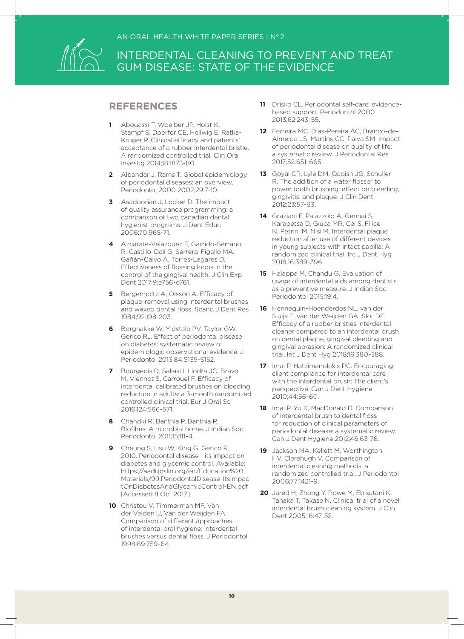

### **REFERENCES**

- **1** Abouassi T, Woelber JP, Holst K, Stampf S, Doerfer CE, Hellwig E, Ratka-Kruger P. Clinical efficacy and patients' acceptance of a rubber interdental bristle. A randomized controlled trial. Clin Oral Investig 2014;18:1873-80.
- **2** Albandar J, Rams T. Global epidemiology of periodontal diseases: an overview. Periodontol 2000 2002;29:7-10.
- **3** Asadoorian J, Locker D. The impact of quality assurance programming: a comparison of two canadian dental hygienist programs. J Dent Educ 2006;70:965-71.
- **4** Azcarate-Velázquez F, Garrido-Serrano R, Castillo-Dalí G, Serrera-Figallo MA, Gañán-Calvo A, Torres-Lagares D. Effectiveness of flossing loops in the control of the gingival health. J Clin Exp Dent 2017;9:e756-e761.
- **5** Bergenholtz A, Olsson A. Efficacy of plaque-removal using interdental brushes and waxed dental floss. Scand J Dent Res 1984;92:198-203.
- **6** Borgnakke W, Ylöstalo PV, Taylor GW, Genco RJ. Effect of periodontal disease on diabetes: systematic review of epidemiologic observational evidence. J Periodontol 2013;84:S135-S152.
- **7** Bourgeois D, Saliasi I, Llodra JC, Bravo M, Viennot S, Carrouel F. Efficacy of interdental calibrated brushes on bleeding reduction in adults: a 3-month randomized controlled clinical trial. Eur J Oral Sci 2016;124:566-571.
- **8** Chandki R, Banthia P, Banthia R. Biofilms: A microbial home. J Indian Soc Periodontol 2011;15:111-4.
- **9** Cheung S, Hsu W, King G, Genco R. 2010. Periodontal disease—its impact on diabetes and glycemic control. Available: https://aadi.joslin.org/en/Education%20 Materials/99.PeriodontalDisease-ItsImpac tOnDiabetesAndGlycemicControl-EN.pdf [Accessed 8 Oct 2017].
- **10** Christou V, Timmerman MF, Van der Velden U, Van der Weijden FA. Comparison of different approaches of interdental oral hygiene: interdental brushes versus dental floss. J Periodontol 1998;69:759-64.
- **11** Drisko CL. Periodontal self-care: evidencebased support. Periodontol 2000 2013;62:243-55.
- **12** Ferreira MC, Dias-Pereira AC, Branco-de-Almeida LS, Martins CC, Paiva SM. Impact of periodontal disease on quality of life: a systematic review. J Periodontal Res 2017;52:651-665.
- **13** Goyal CR, Lyle DM, Qaqish JG, Schuller R. The addition of a water flosser to power tooth brushing: effect on bleeding, gingivitis, and plaque. J Clin Dent 2012;23:57-63.
- **14** Graziani F, Palazzolo A, Gennai S, Karapetsa D, Giuca MR, Cei S, Filice N, Petrini M, Nisi M. Interdental plaque reduction after use of different devices in young subjects with intact papilla: A randomized clinical trial. Int J Dent Hyg 2018;16:389-396.
- **15** Halappa M, Chandu G. Evaluation of usage of interdental aids among dentists as a preventive measure. J Indian Soc Periodontol 2015;19:4.
- **16** Hennequin-Hoenderdos NL, van der Sluijs E, van der Weijden GA, Slot DE. Efficacy of a rubber bristles interdental cleaner compared to an interdental brush on dental plaque, gingival bleeding and gingival abrasion: A randomized clinical trial. Int J Dent Hyg 2018;16:380-388.
- **17** Imai P, Hatzimanolakis PC. Encouraging client compliance for interdental care with the interdental brush: The client's perspective. Can J Dent Hygiene 2010;44:56-60.
- **18** Imai P, Yu X, MacDonald D. Comparison of interdental brush to dental floss for reduction of clinical parameters of periodontal disease: a systematic review. Can J Dent Hygiene 2012;46:63-78.
- **19** Jackson MA, Kellett M, Worthington HV, Clerehugh V. Comparison of interdental cleaning methods: a randomized controlled trial. J Periodontol 2006;77:1421-9.
- **20** Jared H, Zhong Y, Rowe M, Ebisutani K, Tanaka T, Takase N. Clinical trial of a novel interdental brush cleaning system. J Clin Dent 2005;16:47-52.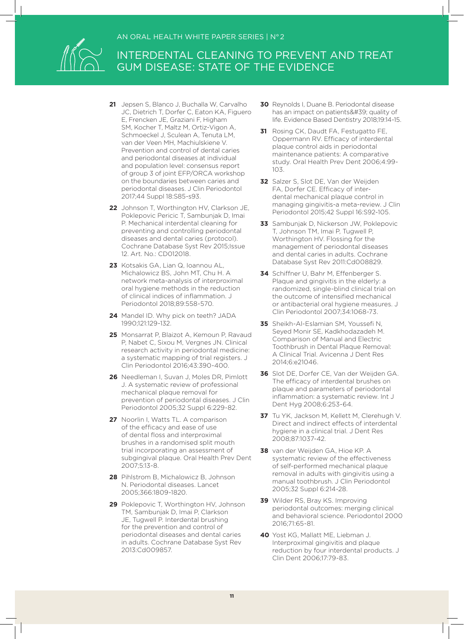

- **21** Jepsen S, Blanco J, Buchalla W, Carvalho JC, Dietrich T, Dorfer C, Eaton KA, Figuero E, Frencken JE, Graziani F, Higham SM, Kocher T, Maltz M, Ortiz-Vigon A, Schmoeckel J, Sculean A, Tenuta LM, van der Veen MH, Machiulskiene V. Prevention and control of dental caries and periodontal diseases at individual and population level: consensus report of group 3 of joint EFP/ORCA workshop on the boundaries between caries and periodontal diseases. J Clin Periodontol 2017;44 Suppl 18:S85-s93.
- **22** Johnson T, Worthington HV, Clarkson JE, Poklepovic Pericic T, Sambunjak D, Imai P. Mechanical interdental cleaning for preventing and controlling periodontal diseases and dental caries (protocol). Cochrane Database Syst Rev 2015;Issue 12. Art. No.: CD012018.
- **23** Kotsakis GA, Lian Q, Ioannou AL, Michalowicz BS, John MT, Chu H. A network meta-analysis of interproximal oral hygiene methods in the reduction of clinical indices of inflammation. J Periodontol 2018;89:558-570.
- **24** Mandel ID. Why pick on teeth? JADA 1990;121:129-132.
- **25** Monsarrat P, Blaizot A, Kemoun P, Ravaud P, Nabet C, Sixou M, Vergnes JN. Clinical research activity in periodontal medicine: a systematic mapping of trial registers. J Clin Periodontol 2016;43:390-400.
- **26** Needleman I, Suvan J, Moles DR, Pimlott J. A systematic review of professional mechanical plaque removal for prevention of periodontal diseases. J Clin Periodontol 2005;32 Suppl 6:229-82.
- 27 Noorlin I, Watts TL. A comparison of the efficacy and ease of use of dental floss and interproximal brushes in a randomised split mouth trial incorporating an assessment of subgingival plaque. Oral Health Prev Dent 2007;5:13-8.
- **28** Pihlstrom B, Michalowicz B, Johnson N. Periodontal diseases. Lancet 2005;366:1809-1820.
- **29** Poklepovic T, Worthington HV, Johnson TM, Sambunjak D, Imai P, Clarkson JE, Tugwell P. Interdental brushing for the prevention and control of periodontal diseases and dental caries in adults. Cochrane Database Syst Rev 2013:Cd009857.
- **30** Reynolds I, Duane B. Periodontal disease has an impact on patients' quality of life. Evidence Based Dentistry 2018;19:14-15.
- **31** Rosing CK, Daudt FA, Festugatto FE, Oppermann RV. Efficacy of interdental plaque control aids in periodontal maintenance patients: A comparative study. Oral Health Prev Dent 2006;4:99- 103.
- **32** Salzer S, Slot DE, Van der Weijden FA, Dorfer CE. Efficacy of interdental mechanical plaque control in managing gingivitis-a meta-review. J Clin Periodontol 2015;42 Suppl 16:S92-105.
- **33** Sambunjak D, Nickerson JW, Poklepovic T, Johnson TM, Imai P, Tugwell P, Worthington HV. Flossing for the management of periodontal diseases and dental caries in adults. Cochrane Database Syst Rev 2011:Cd008829.
- **34** Schiffner U, Bahr M, Effenberger S. Plaque and gingivitis in the elderly: a randomized, single-blind clinical trial on the outcome of intensified mechanical or antibacterial oral hygiene measures. J Clin Periodontol 2007;34:1068-73.
- **35** Sheikh-Al-Eslamian SM, Youssefi N, Seyed Monir SE, Kadkhodazadeh M. Comparison of Manual and Electric Toothbrush in Dental Plaque Removal: A Clinical Trial. Avicenna J Dent Res 2014;6:e21046.
- **36** Slot DE, Dorfer CE, Van der Weijden GA. The efficacy of interdental brushes on plaque and parameters of periodontal inflammation: a systematic review. Int J Dent Hyg 2008;6:253-64.
- **37** Tu YK, Jackson M, Kellett M, Clerehugh V. Direct and indirect effects of interdental hygiene in a clinical trial. J Dent Res 2008;87:1037-42.
- **38** van der Weijden GA, Hioe KP. A systematic review of the effectiveness of self-performed mechanical plaque removal in adults with gingivitis using a manual toothbrush. J Clin Periodontol 2005;32 Suppl 6:214-28.
- **39** Wilder RS, Bray KS. Improving periodontal outcomes: merging clinical and behavioral science. Periodontol 2000 2016;71:65-81.
- **40** Yost KG, Mallatt ME, Liebman J. Interproximal gingivitis and plaque reduction by four interdental products. J Clin Dent 2006;17:79-83.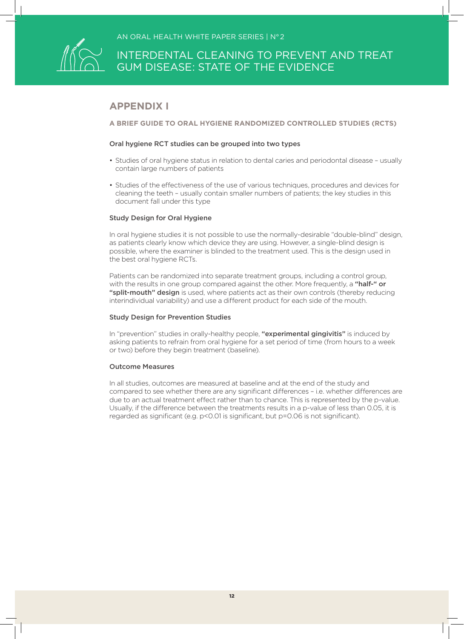

### **APPENDIX I**

**A BRIEF GUIDE TO ORAL HYGIENE RANDOMIZED CONTROLLED STUDIES (RCTS)**

#### Oral hygiene RCT studies can be grouped into two types

- Studies of oral hygiene status in relation to dental caries and periodontal disease usually contain large numbers of patients
- Studies of the effectiveness of the use of various techniques, procedures and devices for cleaning the teeth – usually contain smaller numbers of patients; the key studies in this document fall under this type

#### Study Design for Oral Hygiene

In oral hygiene studies it is not possible to use the normally-desirable "double-blind" design, as patients clearly know which device they are using. However, a single-blind design is possible, where the examiner is blinded to the treatment used. This is the design used in the best oral hygiene RCTs.

Patients can be randomized into separate treatment groups, including a control group, with the results in one group compared against the other. More frequently, a "half-" or "split-mouth" design is used, where patients act as their own controls (thereby reducing interindividual variability) and use a different product for each side of the mouth.

#### Study Design for Prevention Studies

In "prevention" studies in orally-healthy people, "experimental gingivitis" is induced by asking patients to refrain from oral hygiene for a set period of time (from hours to a week or two) before they begin treatment (baseline).

#### Outcome Measures

In all studies, outcomes are measured at baseline and at the end of the study and compared to see whether there are any significant differences – i.e. whether differences are due to an actual treatment effect rather than to chance. This is represented by the p-value. Usually, if the difference between the treatments results in a p-value of less than 0.05, it is regarded as significant (e.g. p<0.01 is significant, but p=0.06 is not significant).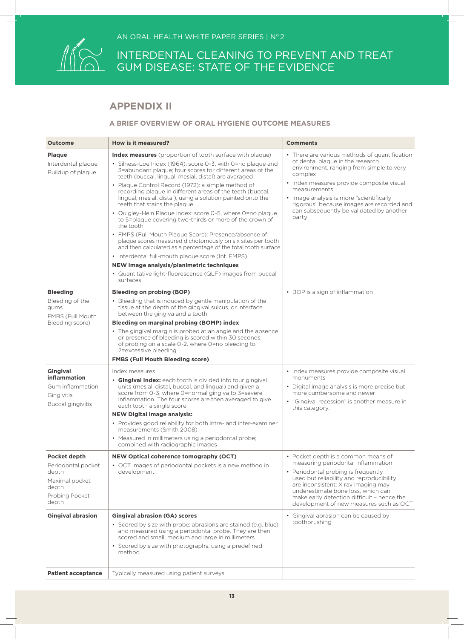

### **APPENDIX II**

#### **A BRIEF OVERVIEW OF ORAL HYGIENE OUTCOME MEASURES**

| <b>Outcome</b>                                                                                           | <b>How is it measured?</b>                                                                                                                                                                                                                                                                                                                                                                                                                                                                                                                                                                                                                                                                                                                                                                                                                                                                                                                                                       | <b>Comments</b>                                                                                                                                                                                                                                                                                                                                     |
|----------------------------------------------------------------------------------------------------------|----------------------------------------------------------------------------------------------------------------------------------------------------------------------------------------------------------------------------------------------------------------------------------------------------------------------------------------------------------------------------------------------------------------------------------------------------------------------------------------------------------------------------------------------------------------------------------------------------------------------------------------------------------------------------------------------------------------------------------------------------------------------------------------------------------------------------------------------------------------------------------------------------------------------------------------------------------------------------------|-----------------------------------------------------------------------------------------------------------------------------------------------------------------------------------------------------------------------------------------------------------------------------------------------------------------------------------------------------|
| <b>Plaque</b><br>Interdental plaque<br>Buildup of plaque                                                 | <b>Index measures</b> (proportion of tooth surface with plaque)<br>· Silness-Löe Index (1964): score 0-3, with 0=no plaque and<br>3=abundant plaque; four scores for different areas of the<br>teeth (buccal, lingual, mesial, distal) are averaged<br>• Plaque Control Record (1972): a simple method of<br>recording plaque in different areas of the teeth (buccal,<br>lingual, mesial, distal), using a solution painted onto the<br>teeth that stains the plaque<br>• Quigley-Hein Plaque Index: score 0-5, where 0=no plaque<br>to 5=plaque covering two-thirds or more of the crown of<br>the tooth<br>• FMPS (Full Mouth Plaque Score): Presence/absence of<br>plaque scores measured dichotomously on six sites per tooth<br>and then calculated as a percentage of the total tooth surface<br>• Interdental full-mouth plaque score (Int. FMPS)<br>NEW Image analysis/planimetric techniques<br>• Quantitative light-fluorescence (QLF) images from buccal<br>surfaces | • There are various methods of quantification<br>of dental plaque in the research<br>environment, ranging from simple to very<br>complex<br>• Index measures provide composite visual<br>measurements<br>• Image analysis is more "scientifically<br>rigorous" because images are recorded and<br>can subsequently be validated by another<br>party |
| <b>Bleeding</b><br>Bleeding of the<br>qums<br>FMBS (Full Mouth<br>Bleeding score)                        | <b>Bleeding on probing (BOP)</b><br>• Bleeding that is induced by gentle manipulation of the<br>tissue at the depth of the gingival sulcus, or interface<br>between the gingiva and a tooth<br>Bleeding on marginal probing (BOMP) index<br>• The gingival margin is probed at an angle and the absence<br>or presence of bleeding is scored within 30 seconds<br>of probing on a scale 0-2, where 0=no bleeding to<br>2=excessive bleeding<br><b>FMBS (Full Mouth Bleeding score)</b>                                                                                                                                                                                                                                                                                                                                                                                                                                                                                           | • BOP is a sign of inflammation                                                                                                                                                                                                                                                                                                                     |
| Gingival<br>inflammation<br>Gum inflammation<br>Gingivitis<br>Buccal gingivitis                          | Index measures<br>• Gingival Index: each tooth is divided into four gingival<br>units (mesial, distal, buccal, and lingual) and given a<br>score from 0-3, where 0=normal gingiva to 3=severe<br>inflammation. The four scores are then averaged to give<br>each tooth a single score<br><b>NEW Digital image analysis:</b><br>• Provides good reliability for both intra- and inter-examiner<br>measurements (Smith 2008)<br>• Measured in millimeters using a periodontal probe;<br>combined with radiographic images                                                                                                                                                                                                                                                                                                                                                                                                                                                          | • Index measures provide composite visual<br>monuments<br>• Digital image analysis is more precise but<br>more cumbersome and newer<br>• "Gingival recession" is another measure in<br>this category.                                                                                                                                               |
| <b>Pocket depth</b><br>Periodontal pocket<br>depth<br>Maximal pocket<br>depth<br>Probing Pocket<br>depth | NEW Optical coherence tomography (OCT)<br>• OCT images of periodontal pockets is a new method in<br>development                                                                                                                                                                                                                                                                                                                                                                                                                                                                                                                                                                                                                                                                                                                                                                                                                                                                  | • Pocket depth is a common means of<br>measuring periodontal inflammation<br>• Periodontal probing is frequently<br>used but reliability and reproducibility<br>are inconsistent; X ray imaging may<br>underestimate bone loss, which can<br>make early detection difficult - hence the<br>development of new measures such as OCT                  |
| <b>Gingival abrasion</b>                                                                                 | <b>Gingival abrasion (GA) scores</b><br>• Scored by size with probe: abrasions are stained (e.g. blue)<br>and measured using a periodontal probe. They are then<br>scored and small, medium and large in millimeters<br>• Scored by size with photographs, using a predefined<br>method                                                                                                                                                                                                                                                                                                                                                                                                                                                                                                                                                                                                                                                                                          | • Gingival abrasion can be caused by<br>toothbrushing                                                                                                                                                                                                                                                                                               |
| <b>Patient acceptance</b>                                                                                | Typically measured using patient surveys                                                                                                                                                                                                                                                                                                                                                                                                                                                                                                                                                                                                                                                                                                                                                                                                                                                                                                                                         |                                                                                                                                                                                                                                                                                                                                                     |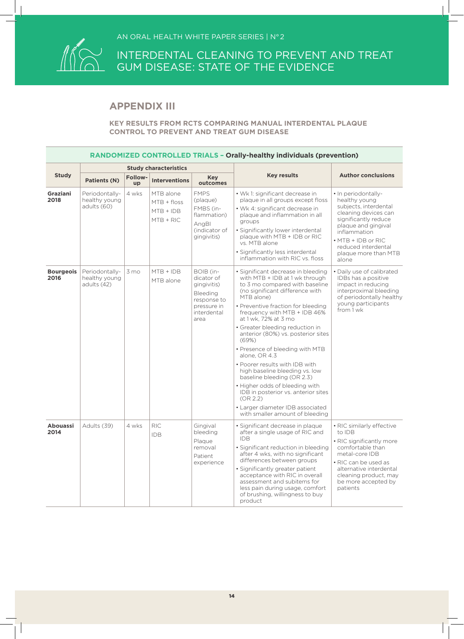

### **APPENDIX III**

#### **KEY RESULTS FROM RCTS COMPARING MANUAL INTERDENTAL PLAQUE CONTROL TO PREVENT AND TREAT GUM DISEASE**

|                          | <b>RANDOMIZED CONTROLLED TRIALS - Orally-healthy individuals (prevention)</b> |                      |                                                          |                                                                                                         |                                                                                                                                                                                                                                                                                                                                                                                                                                                                                                                                                                                                                                                           |                                                                                                                                                                                                                                    |  |  |  |
|--------------------------|-------------------------------------------------------------------------------|----------------------|----------------------------------------------------------|---------------------------------------------------------------------------------------------------------|-----------------------------------------------------------------------------------------------------------------------------------------------------------------------------------------------------------------------------------------------------------------------------------------------------------------------------------------------------------------------------------------------------------------------------------------------------------------------------------------------------------------------------------------------------------------------------------------------------------------------------------------------------------|------------------------------------------------------------------------------------------------------------------------------------------------------------------------------------------------------------------------------------|--|--|--|
|                          |                                                                               |                      | <b>Study characteristics</b>                             |                                                                                                         |                                                                                                                                                                                                                                                                                                                                                                                                                                                                                                                                                                                                                                                           |                                                                                                                                                                                                                                    |  |  |  |
| <b>Study</b>             | <b>Patients (N)</b>                                                           | <b>Follow-</b><br>up | <b>Interventions</b>                                     | <b>Key</b><br>outcomes                                                                                  | <b>Key results</b>                                                                                                                                                                                                                                                                                                                                                                                                                                                                                                                                                                                                                                        | <b>Author conclusions</b>                                                                                                                                                                                                          |  |  |  |
| <b>Graziani</b><br>2018  | Periodontally-<br>healthy young<br>adults (60)                                | 4 wks                | MTB alone<br>$MTB + floss$<br>$MTB + IDB$<br>$MTB + RIC$ | <b>FMPS</b><br>(plaque)<br>FMBS (in-<br>flammation)<br>AngBl<br>(indicator of<br>gingivitis)            | • Wk 1: significant decrease in<br>plaque in all groups except floss<br>• Wk 4: significant decrease in<br>plaque and inflammation in all<br>aroups<br>· Significantly lower interdental<br>plaque with MTB + IDB or RIC<br>vs. MTB alone<br>· Significantly less interdental<br>inflammation with RIC vs. floss                                                                                                                                                                                                                                                                                                                                          | · In periodontally-<br>healthy young<br>subjects, interdental<br>cleaning devices can<br>significantly reduce<br>plaque and gingival<br>inflammation<br>• MTB + IDB or RIC<br>reduced interdental<br>plaque more than MTB<br>alone |  |  |  |
| <b>Bourgeois</b><br>2016 | Periodontally-<br>healthy young<br>adults (42)                                | 3 mo                 | $MTB + IDB$<br>MTB alone                                 | BOIB (in-<br>dicator of<br>gingivitis)<br>Bleeding<br>response to<br>pressure in<br>interdental<br>area | · Significant decrease in bleeding<br>with MTB + IDB at 1 wk through<br>to 3 mo compared with baseline<br>(no significant difference with<br>MTB alone)<br>• Preventive fraction for bleeding<br>frequency with MTB + IDB 46%<br>at 1 wk, 72% at 3 mo<br>• Greater bleeding reduction in<br>anterior (80%) vs. posterior sites<br>(69%)<br>• Presence of bleeding with MTB<br>alone, OR 4.3<br>. Poorer results with IDB with<br>high baseline bleeding vs. low<br>baseline bleeding (OR 2.3)<br>. Higher odds of bleeding with<br>IDB in posterior vs. anterior sites<br>(OR 2.2)<br>• Larger diameter IDB associated<br>with smaller amount of bleeding | • Daily use of calibrated<br>IDBs has a positive<br>impact in reducing<br>interproximal bleeding<br>of periodontally healthy<br>young participants<br>from 1 wk                                                                    |  |  |  |
| <b>Abouassi</b><br>2014  | Adults (39)                                                                   | 4 wks                | <b>RIC</b><br><b>IDB</b>                                 | Gingival<br>bleeding<br>Plaque<br>removal<br>Patient<br>experience                                      | · Significant decrease in plaque<br>after a single usage of RIC and<br><b>IDB</b><br>• Significant reduction in bleeding<br>after 4 wks, with no significant<br>differences between groups<br>· Significantly greater patient<br>acceptance with RIC in overall<br>assessment and subitems for<br>less pain during usage, comfort<br>of brushing, willingness to buy<br>product                                                                                                                                                                                                                                                                           | · RIC similarly effective<br>to IDB<br>• RIC significantly more<br>comfortable than<br>metal-core IDB<br>• RIC can be used as<br>alternative interdental<br>cleaning product, may<br>be more accepted by<br>patients               |  |  |  |

14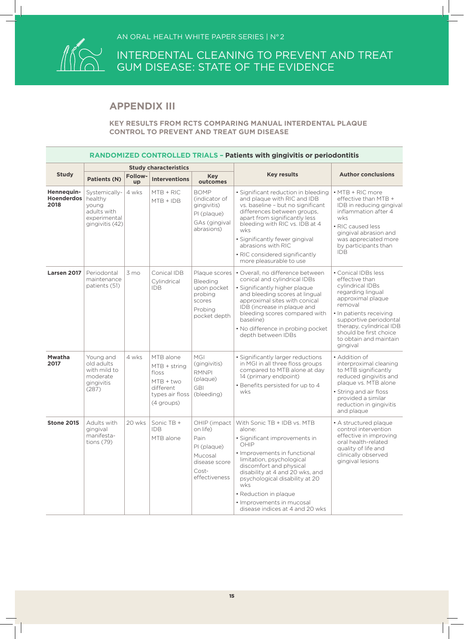

### **APPENDIX III**

| <b>RANDOMIZED CONTROLLED TRIALS - Patients with gingivitis or periodontitis</b> |                                                                                     |                      |                                                                                                   |                                                                                                        |                                                                                                                                                                                                                                                                                                                                             |                                                                                                                                                                                                                                                                 |  |  |
|---------------------------------------------------------------------------------|-------------------------------------------------------------------------------------|----------------------|---------------------------------------------------------------------------------------------------|--------------------------------------------------------------------------------------------------------|---------------------------------------------------------------------------------------------------------------------------------------------------------------------------------------------------------------------------------------------------------------------------------------------------------------------------------------------|-----------------------------------------------------------------------------------------------------------------------------------------------------------------------------------------------------------------------------------------------------------------|--|--|
|                                                                                 |                                                                                     |                      | <b>Study characteristics</b>                                                                      |                                                                                                        |                                                                                                                                                                                                                                                                                                                                             |                                                                                                                                                                                                                                                                 |  |  |
| <b>Study</b>                                                                    | <b>Patients (N)</b>                                                                 | <b>Follow-</b><br>up | <b>Interventions</b>                                                                              | <b>Key</b><br>outcomes                                                                                 | <b>Key results</b>                                                                                                                                                                                                                                                                                                                          | <b>Author conclusions</b>                                                                                                                                                                                                                                       |  |  |
| Hennequin-<br><b>Hoenderdos</b><br>2018                                         | Systemically-<br>healthy<br>voung<br>adults with<br>experimental<br>gingivitis (42) | 4 wks                | $MTB + RIC$<br>$MTB + IDB$                                                                        | <b>BOMP</b><br>(indicator of<br>gingivitis)<br>PI (plaque)<br>GAs (gingival<br>abrasions)              | • Significant reduction in bleeding<br>and plaque with RIC and IDB<br>vs. baseline - but no significant<br>differences between groups,<br>apart from significantly less<br>bleeding with RIC vs. IDB at 4<br>wks<br>· Significantly fewer gingival<br>abrasions with RIC<br>· RIC considered significantly<br>more pleasurable to use       | • MTB + RIC more<br>effective than MTB +<br>IDB in reducing gingival<br>inflammation after 4<br>wks<br>• RIC caused less<br>gingival abrasion and<br>was appreciated more<br>by participants than<br><b>IDB</b>                                                 |  |  |
| Larsen 2017                                                                     | Periodontal<br>maintenance<br>patients (51)                                         | $3 \text{ mo}$       | Conical IDB<br>Cylindrical<br><b>IDB</b>                                                          | Plaque scores<br>Bleeding<br>upon pocket<br>probing<br>scores<br>Probing<br>pocket depth               | • Overall, no difference between<br>conical and cylindrical IDBs<br>· Significantly higher plaque<br>and bleeding scores at lingual<br>approximal sites with conical<br>IDB (increase in plaque and<br>bleeding scores compared with<br>baseline)<br>• No difference in probing pocket<br>depth between IDBs                                | • Conical IDBs less<br>effective than<br>cylindrical IDBs<br>regarding lingual<br>approximal plaque<br>removal<br>• In patients receiving<br>supportive periodontal<br>therapy, cylindrical IDB<br>should be first choice<br>to obtain and maintain<br>gingival |  |  |
| <b>Mwatha</b><br>2017                                                           | Young and<br>old adults<br>with mild to<br>moderate<br>gingivitis<br>(287)          | 4 wks                | MTB alone<br>$MTB + string$<br>floss<br>$MTB + two$<br>different<br>types air floss<br>(4 groups) | MGI<br>(gingivitis)<br><b>RMNPI</b><br>(plaque)<br><b>GBI</b><br>(bleeding)                            | • Significantly larger reductions<br>in MGI in all three floss groups<br>compared to MTB alone at day<br>14 (primary endpoint)<br>• Benefits persisted for up to 4<br>wks                                                                                                                                                                   | • Addition of<br>interproximal cleaning<br>to MTB significantly<br>reduced gingivitis and<br>plaque vs. MTB alone<br>• String and air floss<br>provided a similar<br>reduction in gingivitis<br>and plaque                                                      |  |  |
| <b>Stone 2015</b>                                                               | Adults with<br>qinqiyal<br>manifesta-<br>tions $(79)$                               | 20 wks               | Sonic TB +<br><b>IDB</b><br>MTB alone                                                             | OHIP (impact)<br>on life)<br>Pain<br>PI (plaque)<br>Mucosal<br>disease score<br>Cost-<br>effectiveness | With Sonic TB + IDB vs. MTB<br>alone:<br>• Significant improvements in<br>OHIP<br>• Improvements in functional<br>limitation, psychological<br>discomfort and physical<br>disability at 4 and 20 wks, and<br>psychological disability at 20<br>wks<br>• Reduction in plaque<br>· Improvements in mucosal<br>disease indices at 4 and 20 wks | • A structured plaque<br>control intervention<br>effective in improving<br>oral health-related<br>quality of life and<br>clinically observed<br>gingival lesions                                                                                                |  |  |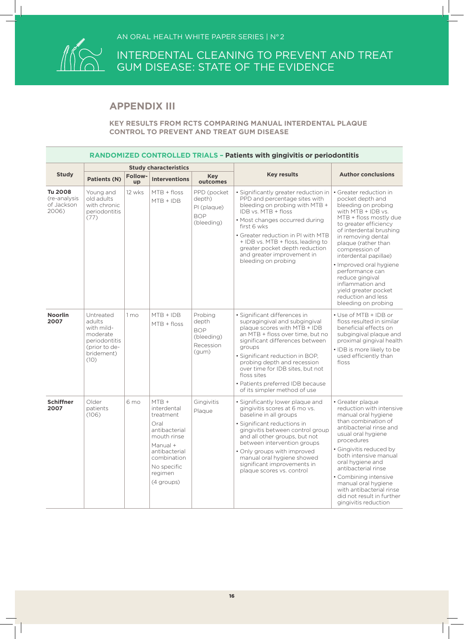

### **APPENDIX III**

| <b>RANDOMIZED CONTROLLED TRIALS - Patients with gingivitis or periodontitis</b> |                                                                                                       |                 |                                                                                                                                                                 |                                                                    |                                                                                                                                                                                                                                                                                                                                                                         |                                                                                                                                                                                                                                                                                                                                                                                                                         |  |  |
|---------------------------------------------------------------------------------|-------------------------------------------------------------------------------------------------------|-----------------|-----------------------------------------------------------------------------------------------------------------------------------------------------------------|--------------------------------------------------------------------|-------------------------------------------------------------------------------------------------------------------------------------------------------------------------------------------------------------------------------------------------------------------------------------------------------------------------------------------------------------------------|-------------------------------------------------------------------------------------------------------------------------------------------------------------------------------------------------------------------------------------------------------------------------------------------------------------------------------------------------------------------------------------------------------------------------|--|--|
|                                                                                 |                                                                                                       |                 | <b>Study characteristics</b>                                                                                                                                    |                                                                    |                                                                                                                                                                                                                                                                                                                                                                         |                                                                                                                                                                                                                                                                                                                                                                                                                         |  |  |
| <b>Study</b>                                                                    | <b>Patients (N)</b>                                                                                   | Follow-<br>up   | <b>Interventions</b>                                                                                                                                            | <b>Key</b><br>outcomes                                             | <b>Key results</b>                                                                                                                                                                                                                                                                                                                                                      | <b>Author conclusions</b>                                                                                                                                                                                                                                                                                                                                                                                               |  |  |
| <b>Tu 2008</b><br>(re-analysis<br>of Jackson<br>2006)                           | Young and<br>old adults<br>with chronic<br>periodontitis<br>(77)                                      | 12 wks          | MTB + floss<br>$MTB + IDB$                                                                                                                                      | PPD (pocket<br>depth)<br>PI (plaque)<br><b>BOP</b><br>(bleeding)   | · Significantly greater reduction in<br>PPD and percentage sites with<br>bleeding on probing with MTB +<br>IDB vs. MTB + floss<br>• Most changes occurred during<br>first 6 wks<br>• Greater reduction in PI with MTB<br>+ IDB vs. MTB + floss, leading to<br>greater pocket depth reduction<br>and greater improvement in<br>bleeding on probing                       | • Greater reduction in<br>pocket depth and<br>bleeding on probing<br>with MTB + IDB vs.<br>MTB + floss mostly due<br>to greater efficiency<br>of interdental brushing<br>in removing dental<br>plaque (rather than<br>compression of<br>interdental papillae)<br>· Improved oral hygiene<br>performance can<br>reduce gingival<br>inflammation and<br>vield greater pocket<br>reduction and less<br>bleeding on probing |  |  |
| <b>Noorlin</b><br>2007                                                          | Untreated<br>adults<br>with mild-<br>moderate<br>periodontitis<br>(prior to de-<br>bridement)<br>(10) | 1 <sub>mo</sub> | $MTB + IDB$<br>$MTB + floss$                                                                                                                                    | Probing<br>depth<br><b>BOP</b><br>(bleeding)<br>Recession<br>(gum) | • Significant differences in<br>supragingival and subgingival<br>plaque scores with MTB + IDB<br>an MTB + floss over time, but no<br>significant differences between<br>groups<br>· Significant reduction in BOP,<br>probing depth and recession<br>over time for IDB sites, but not<br>floss sites<br>• Patients preferred IDB because<br>of its simpler method of use | • Use of MTB + IDB or<br>floss resulted in similar<br>beneficial effects on<br>subgingival plaque and<br>proximal gingival health<br>· IDB is more likely to be<br>used efficiently than<br>floss                                                                                                                                                                                                                       |  |  |
| <b>Schiffner</b><br>2007                                                        | Older<br>patients<br>(106)                                                                            | 6 <sub>mo</sub> | $MTB +$<br>interdental<br>treatment<br>Oral<br>antibacterial<br>mouth rinse<br>Manual +<br>antibacterial<br>combination<br>No specific<br>regimen<br>(4 groups) | Gingivitis<br>Plaque                                               | • Significantly lower plaque and<br>gingivitis scores at 6 mo vs.<br>baseline in all groups<br>· Significant reductions in<br>gingivitis between control group<br>and all other groups, but not<br>between intervention groups<br>• Only groups with improved<br>manual oral hygiene showed<br>significant improvements in<br>plaque scores vs. control                 | • Greater plaque<br>reduction with intensive<br>manual oral hygiene<br>than combination of<br>antibacterial rinse and<br>usual oral hygiene<br>procedures<br>· Gingivitis reduced by<br>both intensive manual<br>oral hygiene and<br>antibacterial rinse<br>• Combining intensive<br>manual oral hygiene<br>with antibacterial rinse<br>did not result in further<br>gingivitis reduction                               |  |  |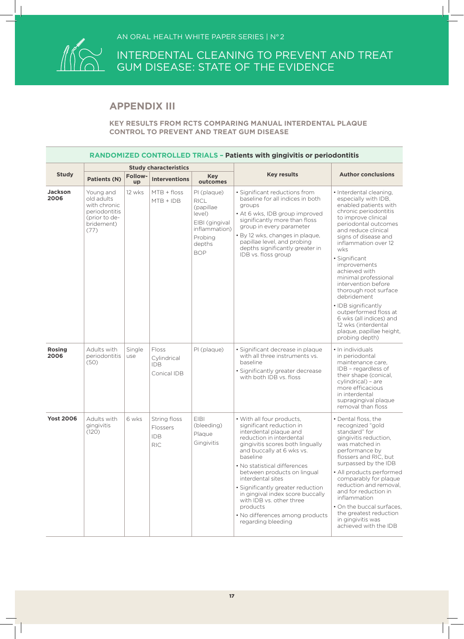

### **APPENDIX III**

|                        | RANDOMIZED CONTROLLED TRIALS - Patients with gingivitis or periodontitis                        |                      |                                                      |                                                                                                                         |                                                                                                                                                                                                                                                                                                                                                                                                                                                        |                                                                                                                                                                                                                                                                                                                                                                                                                                                                                                                         |  |  |  |
|------------------------|-------------------------------------------------------------------------------------------------|----------------------|------------------------------------------------------|-------------------------------------------------------------------------------------------------------------------------|--------------------------------------------------------------------------------------------------------------------------------------------------------------------------------------------------------------------------------------------------------------------------------------------------------------------------------------------------------------------------------------------------------------------------------------------------------|-------------------------------------------------------------------------------------------------------------------------------------------------------------------------------------------------------------------------------------------------------------------------------------------------------------------------------------------------------------------------------------------------------------------------------------------------------------------------------------------------------------------------|--|--|--|
|                        |                                                                                                 |                      | <b>Study characteristics</b>                         |                                                                                                                         |                                                                                                                                                                                                                                                                                                                                                                                                                                                        |                                                                                                                                                                                                                                                                                                                                                                                                                                                                                                                         |  |  |  |
| <b>Study</b>           | <b>Patients (N)</b>                                                                             | <b>Follow-</b><br>up | <b>Interventions</b>                                 | <b>Key</b><br>outcomes                                                                                                  | <b>Key results</b>                                                                                                                                                                                                                                                                                                                                                                                                                                     | <b>Author conclusions</b>                                                                                                                                                                                                                                                                                                                                                                                                                                                                                               |  |  |  |
| <b>Jackson</b><br>2006 | Young and<br>old adults<br>with chronic<br>periodontitis<br>(prior to de-<br>bridement)<br>(77) | 12 wks               | $MTB + floss$<br>$MTB + IDB$                         | PI (plaque)<br><b>RICL</b><br>(papillae<br>level)<br>EIBI (gingival<br>inflammation)<br>Probing<br>depths<br><b>BOP</b> | · Significant reductions from<br>baseline for all indices in both<br>groups<br>• At 6 wks, IDB group improved<br>significantly more than floss<br>group in every parameter<br>· By 12 wks, changes in plaque,<br>papillae level, and probing<br>depths significantly greater in<br>IDB vs. floss group                                                                                                                                                 | · Interdental cleaning,<br>especially with IDB,<br>enabled patients with<br>chronic periodontitis<br>to improve clinical<br>periodontal outcomes<br>and reduce clinical<br>signs of disease and<br>inflammation over 12<br>wks<br>• Significant<br>improvements<br>achieved with<br>minimal professional<br>intervention before<br>thorough root surface<br>debridement<br>· IDB significantly<br>outperformed floss at<br>6 wks (all indices) and<br>12 wks (interdental<br>plaque, papillae height,<br>probing depth) |  |  |  |
| <b>Rosing</b><br>2006  | Adults with<br>periodontitis<br>(50)                                                            | Single<br>use        | Floss<br>Cylindrical<br><b>IDB</b><br>Conical IDB    | PI (plaque)                                                                                                             | · Significant decrease in plaque<br>with all three instruments vs.<br>baseline<br>· Significantly greater decrease<br>with both IDB vs. floss                                                                                                                                                                                                                                                                                                          | • In individuals<br>in periodontal<br>maintenance care.<br>IDB - regardless of<br>their shape (conical,<br>cylindrical) - are<br>more efficacious<br>in interdental<br>supragingival plaque<br>removal than floss                                                                                                                                                                                                                                                                                                       |  |  |  |
| <b>Yost 2006</b>       | Adults with<br>gingivitis<br>(120)                                                              | 6 wks                | String floss<br>Flossers<br><b>IDB</b><br><b>RIC</b> | <b>EIBI</b><br>(bleeding)<br>Plaque<br>Gingivitis                                                                       | • With all four products,<br>significant reduction in<br>interdental plaque and<br>reduction in interdental<br>gingivitis scores both lingually<br>and buccally at 6 wks vs.<br>baseline<br>· No statistical differences<br>between products on lingual<br>interdental sites<br>· Significantly greater reduction<br>in gingival index score buccally<br>with IDB vs. other three<br>products<br>• No differences among products<br>regarding bleeding | • Dental floss, the<br>recognized "gold<br>standard" for<br>gingivitis reduction,<br>was matched in<br>performance by<br>flossers and RIC, but<br>surpassed by the IDB<br>• All products performed<br>comparably for plaque<br>reduction and removal.<br>and for reduction in<br>inflammation<br>• On the buccal surfaces,<br>the greatest reduction<br>in gingivitis was<br>achieved with the IDB                                                                                                                      |  |  |  |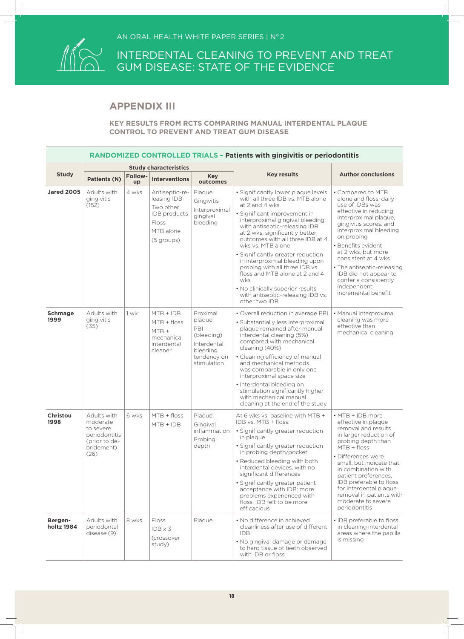

### **APPENDIX III**

|                         | <b>RANDOMIZED CONTROLLED TRIALS - Patients with gingivitis or periodontitis</b>              |               |                                                                                                       |                                                                                                  |                                                                                                                                                                                                                                                                                                                                                                                                                                                                                                                                      |                                                                                                                                                                                                                                                                                                                                                                             |  |  |  |
|-------------------------|----------------------------------------------------------------------------------------------|---------------|-------------------------------------------------------------------------------------------------------|--------------------------------------------------------------------------------------------------|--------------------------------------------------------------------------------------------------------------------------------------------------------------------------------------------------------------------------------------------------------------------------------------------------------------------------------------------------------------------------------------------------------------------------------------------------------------------------------------------------------------------------------------|-----------------------------------------------------------------------------------------------------------------------------------------------------------------------------------------------------------------------------------------------------------------------------------------------------------------------------------------------------------------------------|--|--|--|
|                         |                                                                                              |               | <b>Study characteristics</b>                                                                          |                                                                                                  |                                                                                                                                                                                                                                                                                                                                                                                                                                                                                                                                      |                                                                                                                                                                                                                                                                                                                                                                             |  |  |  |
| <b>Study</b>            | Patients (N)                                                                                 | Follow-<br>up | <b>Interventions</b>                                                                                  | <b>Key</b><br>outcomes                                                                           | <b>Key results</b>                                                                                                                                                                                                                                                                                                                                                                                                                                                                                                                   | <b>Author conclusions</b>                                                                                                                                                                                                                                                                                                                                                   |  |  |  |
| <b>Jared 2005</b>       | Adults with<br>gingivitis<br>(152)                                                           | 4 wks         | Antiseptic-re-<br>leasing IDB<br>Two other<br><b>IDB</b> products<br>Floss<br>MTB alone<br>(5 groups) | Plaque<br>Gingivitis<br>Interproximal<br>gingival<br>bleeding                                    | · Significantly lower plaque levels<br>with all three IDB vs. MTB alone<br>at 2 and 4 wks<br>• Significant improvement in<br>interproximal gingival bleeding<br>with antiseptic-releasing IDB<br>at 2 wks; significantly better<br>outcomes with all three IDB at 4<br>wks vs. MTB alone<br>· Significantly greater reduction<br>in interproximal bleeding upon<br>probing with all three IDB vs.<br>floss and MTB alone at 2 and 4<br>wks<br>. No clinically superior results<br>with antiseptic-releasing IDB vs.<br>other two IDB | • Compared to MTB<br>alone and floss, daily<br>use of IDBs was<br>effective in reducing<br>interproximal plaque,<br>gingivitis scores, and<br>interproximal bleeding<br>on probing<br>· Benefits evident<br>at 2 wks. but more<br>consistent at 4 wks<br>• The antiseptic-releasing<br>IDB did not appear to<br>confer a consistently<br>independent<br>incremental benefit |  |  |  |
| <b>Schmage</b><br>1999  | Adults with<br>gingivitis<br>(35)                                                            | 1 wk          | $MTB + IDB$<br>$MTB + floss$<br>$MTB +$<br>mechanical<br>interdental<br>cleaner                       | Proximal<br>plaque<br>PBI<br>(bleeding)<br>Interdental<br>bleeding<br>tendency on<br>stimulation | • Overall reduction in average PBI<br>• Substantially less interproximal<br>plaque remained after manual<br>interdental cleaning (5%)<br>compared with mechanical<br>cleaning (40%)<br>• Cleaning efficiency of manual<br>and mechanical methods<br>was comparable in only one<br>interproximal space size<br>· Interdental bleeding on<br>stimulation significantly higher<br>with mechanical manual<br>cleaning at the end of the study                                                                                            | • Manual interproximal<br>cleaning was more<br>effective than<br>mechanical cleaning                                                                                                                                                                                                                                                                                        |  |  |  |
| <b>Christou</b><br>1998 | Adults with<br>moderate<br>to severe<br>periodontitis<br>(prior to de-<br>bridement)<br>(26) | 6 wks         | $MTB + floss$<br>MTB + IDB                                                                            | Plaque<br>Gingival<br><i>inflammation</i><br>Probing<br>depth                                    | At 6 wks vs. baseline with MTB +<br>IDB vs. MTB + floss:<br>• Significantly greater reduction<br>in plaque<br>· Significantly greater reduction<br>in probing depth/pocket<br>• Reduced bleeding with both<br>interdental devices, with no<br>significant differences<br>• Significantly greater patient<br>acceptance with IDB: more<br>problems experienced with<br>floss, IDB felt to be more<br>efficacious                                                                                                                      | $\cdot$ MTB + IDB more<br>effective in plaque<br>removal and results<br>in larger reduction of<br>probing depth than<br>$MTB + floss$<br>• Differences were<br>small, but indicate that<br>in combination with<br>patient preferences,<br>IDB preferable to floss<br>for interdental plaque<br>removal in patients with<br>moderate to severe<br>periodontitis              |  |  |  |
| Bergen-<br>holtz 1984   | Adults with<br>periodontal<br>disease (9)                                                    | 8 wks         | <b>Floss</b><br>$IDB \times 3$<br>(crossover<br>study)                                                | Plaque                                                                                           | · No difference in achieved<br>cleanliness after use of different<br>IDB.<br>• No gingival damage or damage<br>to hard tissue of teeth observed<br>with IDB or floss                                                                                                                                                                                                                                                                                                                                                                 | • IDB preferable to floss<br>in cleaning interdental<br>areas where the papilla<br>is missing                                                                                                                                                                                                                                                                               |  |  |  |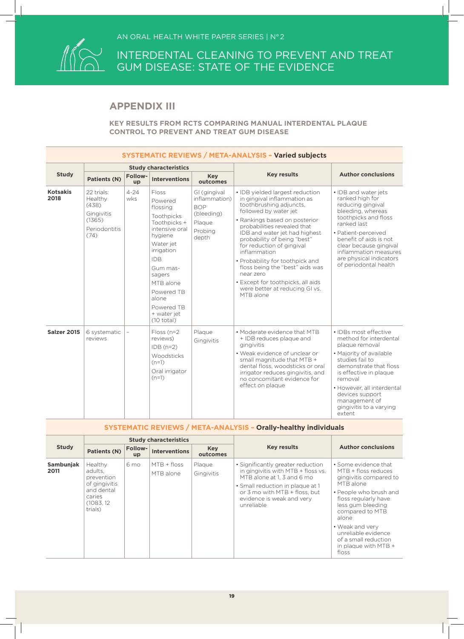

### **APPENDIX III**

| <b>SYSTEMATIC REVIEWS / META-ANALYSIS - Varied subjects</b> |                                                                                 |                          |                                                                                                                                                                                                                                                 |                                                                                         |                                                                                                                                                                                                                                                                                                                                                                                                                                                                        |                                                                                                                                                                                                                                                                                       |  |  |
|-------------------------------------------------------------|---------------------------------------------------------------------------------|--------------------------|-------------------------------------------------------------------------------------------------------------------------------------------------------------------------------------------------------------------------------------------------|-----------------------------------------------------------------------------------------|------------------------------------------------------------------------------------------------------------------------------------------------------------------------------------------------------------------------------------------------------------------------------------------------------------------------------------------------------------------------------------------------------------------------------------------------------------------------|---------------------------------------------------------------------------------------------------------------------------------------------------------------------------------------------------------------------------------------------------------------------------------------|--|--|
|                                                             |                                                                                 |                          | <b>Study characteristics</b>                                                                                                                                                                                                                    |                                                                                         |                                                                                                                                                                                                                                                                                                                                                                                                                                                                        |                                                                                                                                                                                                                                                                                       |  |  |
| <b>Study</b>                                                | <b>Patients (N)</b>                                                             | <b>Follow-</b><br>up     | <b>Interventions</b>                                                                                                                                                                                                                            | <b>Key</b><br>outcomes                                                                  | <b>Key results</b>                                                                                                                                                                                                                                                                                                                                                                                                                                                     | <b>Author conclusions</b>                                                                                                                                                                                                                                                             |  |  |
| <b>Kotsakis</b><br>2018                                     | 22 trials:<br>Healthy<br>(438)<br>Gingivitis<br>(1365)<br>Periodontitis<br>(74) | $4 - 24$<br>wks          | Floss<br>Powered<br>flossing<br>Toothpicks<br>Toothpicks +<br>intensive oral<br>hygiene<br>Water jet<br>irrigation<br><b>IDB</b><br>Gum mas-<br>sagers<br>MTB alone<br>Powered TB<br>alone<br>Powered TB<br>+ water jet<br>$(10 \text{ total})$ | GI (gingival<br>inflammation)<br><b>BOP</b><br>(bleeding)<br>Plaque<br>Probing<br>depth | • IDB yielded largest reduction<br>in gingival inflammation as<br>toothbrushing adjuncts,<br>followed by water jet<br>• Rankings based on posterior<br>probabilities revealed that<br>IDB and water jet had highest<br>probability of being "best"<br>for reduction of gingival<br>inflammation<br>• Probability for toothpick and<br>floss being the "best" aids was<br>near zero<br>• Except for toothpicks, all aids<br>were better at reducing GI vs.<br>MTB alone | • IDB and water jets<br>ranked high for<br>reducing gingival<br>bleeding, whereas<br>toothpicks and floss<br>ranked last<br>• Patient-perceived<br>benefit of aids is not<br>clear because gingival<br>inflammation measures<br>are physical indicators<br>of periodontal health      |  |  |
| Salzer 2015                                                 | 6 systematic<br>reviews                                                         | $\overline{\phantom{0}}$ | $Floss$ (n=2<br>reviews)<br>$IDB(n=2)$<br><b>Woodsticks</b><br>$(n=1)$<br>Oral irrigator<br>$(n=1)$                                                                                                                                             | Plaque<br>Gingivitis                                                                    | . Moderate evidence that MTB<br>+ IDB reduces plaque and<br>gingivitis<br>• Weak evidence of unclear or<br>small magnitude that MTB +<br>dental floss, woodsticks or oral<br>irrigator reduces gingivitis, and<br>no concomitant evidence for<br>effect on plaque                                                                                                                                                                                                      | • IDBs most effective<br>method for interdental<br>plaque removal<br>• Majority of available<br>studies fail to<br>demonstrate that floss<br>is effective in plaque<br>removal<br>• However, all interdental<br>devices support<br>management of<br>gingivitis to a varying<br>extent |  |  |

| <b>SYSTEMATIC REVIEWS / META-ANALYSIS - Orally-healthy individuals</b> |                                                                                                    |                         |                              |                        |                                                                                                                                                                                                                       |                                                                                                                                                                                                                                                                                          |  |  |
|------------------------------------------------------------------------|----------------------------------------------------------------------------------------------------|-------------------------|------------------------------|------------------------|-----------------------------------------------------------------------------------------------------------------------------------------------------------------------------------------------------------------------|------------------------------------------------------------------------------------------------------------------------------------------------------------------------------------------------------------------------------------------------------------------------------------------|--|--|
|                                                                        |                                                                                                    |                         | <b>Study characteristics</b> |                        |                                                                                                                                                                                                                       |                                                                                                                                                                                                                                                                                          |  |  |
| <b>Study</b>                                                           | Patients (N)                                                                                       | Follow-<br>$\mathbf{u}$ | <b>Interventions</b>         | <b>Key</b><br>outcomes | <b>Key results</b>                                                                                                                                                                                                    | <b>Author conclusions</b>                                                                                                                                                                                                                                                                |  |  |
| Sambunjak<br>2011                                                      | Healthy<br>adults.<br>prevention<br>of gingivitis<br>and dental<br>caries<br>(1083, 12)<br>trials) | 6 mo                    | $MTB + floss$<br>MTB alone   | Plaque<br>Gingivitis   | • Significantly greater reduction<br>in gingivitis with MTB + floss vs.<br>MTB alone at 1. 3 and 6 mo<br>• Small reduction in plaque at 1<br>or 3 mo with MTB + floss, but<br>evidence is weak and very<br>unreliable | • Some evidence that<br>MTB + floss reduces<br>gingivitis compared to<br>MTB alone<br>• People who brush and<br>floss regularly have<br>less gum bleeding<br>compared to MTB<br>alone<br>• Weak and verv<br>unreliable evidence<br>of a small reduction<br>in plaque with MTB +<br>floss |  |  |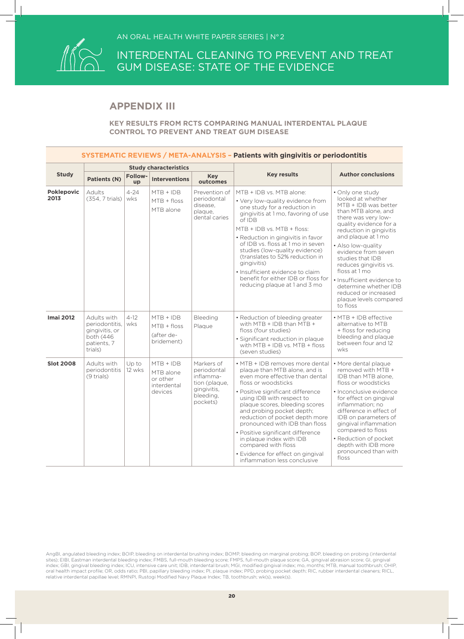

### **APPENDIX III**

#### **KEY RESULTS FROM RCTS COMPARING MANUAL INTERDENTAL PLAQUE CONTROL TO PREVENT AND TREAT GUM DISEASE**

|                           | SYSTEMATIC REVIEWS / META-ANALYSIS - Patients with gingivitis or periodontitis         |                      |                                                                |                                                                                                 |                                                                                                                                                                                                                                                                                                                                                                                                                                                                                              |                                                                                                                                                                                                                                                                                                                                                                                                                         |  |  |
|---------------------------|----------------------------------------------------------------------------------------|----------------------|----------------------------------------------------------------|-------------------------------------------------------------------------------------------------|----------------------------------------------------------------------------------------------------------------------------------------------------------------------------------------------------------------------------------------------------------------------------------------------------------------------------------------------------------------------------------------------------------------------------------------------------------------------------------------------|-------------------------------------------------------------------------------------------------------------------------------------------------------------------------------------------------------------------------------------------------------------------------------------------------------------------------------------------------------------------------------------------------------------------------|--|--|
|                           |                                                                                        |                      | <b>Study characteristics</b>                                   |                                                                                                 |                                                                                                                                                                                                                                                                                                                                                                                                                                                                                              |                                                                                                                                                                                                                                                                                                                                                                                                                         |  |  |
| <b>Study</b>              | Patients (N)                                                                           | <b>Follow-</b><br>up | <b>Interventions</b>                                           | <b>Key</b><br>outcomes                                                                          | <b>Key results</b>                                                                                                                                                                                                                                                                                                                                                                                                                                                                           | <b>Author conclusions</b>                                                                                                                                                                                                                                                                                                                                                                                               |  |  |
| <b>Poklepovic</b><br>2013 | Adults<br>(354, 7 trials)                                                              | $4 - 24$<br>wks      | $MTB + IDB$<br>$MTB + floss$<br>MTB alone                      | Prevention of<br>periodontal<br>disease.<br>plaque,<br>dental caries                            | MTB + IDB vs. MTB alone:<br>• Very low-quality evidence from<br>one study for a reduction in<br>gingivitis at 1 mo, favoring of use<br>of IDB<br>MTB + IDB vs. MTB + floss:<br>• Reduction in gingivitis in favor<br>of IDB vs. floss at 1 mo in seven<br>studies (low-quality evidence)<br>(translates to 52% reduction in<br>gingivitis)<br>• Insufficient evidence to claim<br>benefit for either IDB or floss for<br>reducing plaque at 1 and 3 mo                                       | · Only one study<br>looked at whether<br>MTB + IDB was better<br>than MTB alone, and<br>there was very low-<br>quality evidence for a<br>reduction in gingivitis<br>and plaque at 1 mo<br>• Also low-quality<br>evidence from seven<br>studies that IDB<br>reduces gingivitis vs.<br>floss at 1 mo<br>· Insufficient evidence to<br>determine whether IDB<br>reduced or increased<br>plaque levels compared<br>to floss |  |  |
| <b>Imai 2012</b>          | Adults with<br>periodontitis,<br>gingivitis, or<br>both (446<br>patients, 7<br>trials) | $4 - 12$<br>wks      | $MTB + IDB$<br>$MTB + floss$<br>(after de-<br>bridement)       | Bleeding<br>Plaque                                                                              | • Reduction of bleeding greater<br>with MTB $+$ IDB than MTB $+$<br>floss (four studies)<br>· Significant reduction in plaque<br>with MTB + IDB vs. MTB + floss<br>(seven studies)                                                                                                                                                                                                                                                                                                           | • MTB + IDB effective<br>alternative to MTB<br>+ floss for reducing<br>bleeding and plaque<br>between four and 12<br>wks                                                                                                                                                                                                                                                                                                |  |  |
| <b>Slot 2008</b>          | Adults with<br>periodontitis<br>(9 trials)                                             | Up to<br>12 wks      | $MTB + IDB$<br>MTB alone<br>or other<br>interdental<br>devices | Markers of<br>periodontal<br>inflamma-<br>tion (plaque,<br>gingivitis.<br>bleeding,<br>pockets) | • MTB + IDB removes more dental<br>plaque than MTB alone, and is<br>even more effective than dental<br>floss or woodsticks<br>• Positive significant difference<br>using IDB with respect to<br>plaque scores, bleeding scores<br>and probing pocket depth;<br>reduction of pocket depth more<br>pronounced with IDB than floss<br>· Positive significant difference<br>in plaque index with IDB<br>compared with floss<br>· Evidence for effect on gingival<br>inflammation less conclusive | · More dental plaque<br>removed with MTB +<br>IDB than MTB alone.<br>floss or woodsticks<br>• Inconclusive evidence<br>for effect on gingival<br>inflammation: no<br>difference in effect of<br>IDB on parameters of<br>gingival inflammation<br>compared to floss<br>• Reduction of pocket<br>depth with IDB more<br>pronounced than with<br>floss                                                                     |  |  |

AngBI, angulated bleeding index; BOIP, bleeding on interdental brushing index; BOMP, bleeding on marginal probing; BOP, bleeding on probing (interdental sites); EIBI, Eastman interdental bleeding index; FMBS, full-mouth bleeding score; FMPS, full-mouth plaque score; GA, gingival abrasion score; GI, gingival index; GBI, gingival bleeding index; ICU, intensive care unit; IDB, interdental brush; MGI, modified gingival index; mo, months; MTB, manual toothbrush; OHIP, oral health impact profile; OR, odds ratio; PBI, papillary bleeding index; PI, plaque index; PPD, probing pocket depth; RIC, rubber interdental cleaners; RICL, relative interdental papillae level; RMNPI, Rustogi Modified Navy Plaque Index; TB, toothbrush; wk(s), week(s).